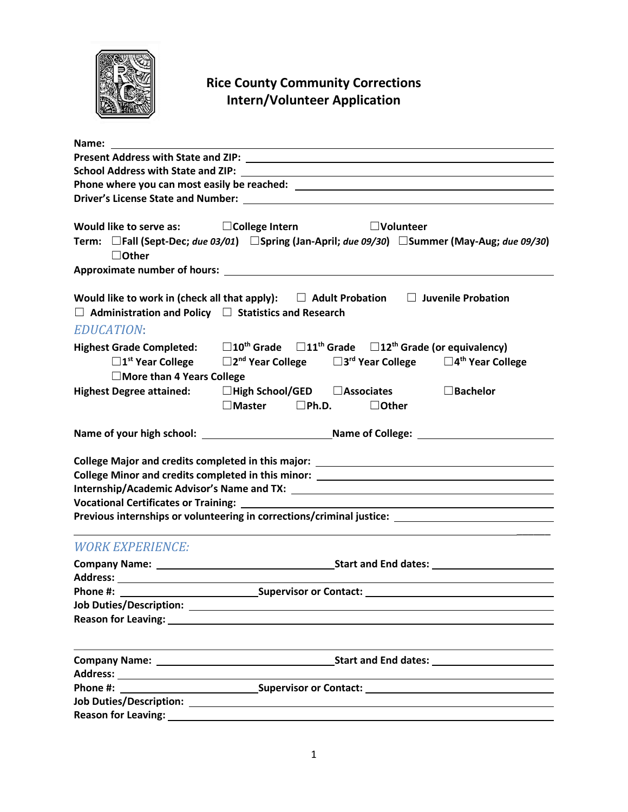

## **Rice County Community Corrections Intern/Volunteer Application**

| <b>School Address with State and ZIP:</b>                                            |                                                                                                                                                                                                                                  |
|--------------------------------------------------------------------------------------|----------------------------------------------------------------------------------------------------------------------------------------------------------------------------------------------------------------------------------|
|                                                                                      |                                                                                                                                                                                                                                  |
|                                                                                      |                                                                                                                                                                                                                                  |
| $\Box$ Other                                                                         | Would like to serve as: $\Box$ College Intern<br>$\Box$ Volunteer<br>Term: □Fall (Sept-Dec; due 03/01) □Spring (Jan-April; due 09/30) □Summer (May-Aug; due 09/30)                                                               |
|                                                                                      |                                                                                                                                                                                                                                  |
| $\Box$ Administration and Policy $\Box$ Statistics and Research<br><b>EDUCATION:</b> | Would like to work in (check all that apply): $\square$ Adult Probation $\square$ Juvenile Probation                                                                                                                             |
| $\square$ 1 <sup>st</sup> Year College<br>□ More than 4 Years College                | Highest Grade Completed: $\Box 10^{th}$ Grade $\Box 11^{th}$ Grade $\Box 12^{th}$ Grade (or equivalency)<br>$\square$ 2 <sup>nd</sup> Year College $\square$ 3 <sup>rd</sup> Year College $\square$ 4 <sup>th</sup> Year College |
| <b>Highest Degree attained:</b>                                                      | $\Box$ High School/GED $\Box$ Associates<br>$\square$ Bachelor<br>$\square$ Master $\square$ Ph.D.<br>$\Box$ Other                                                                                                               |
|                                                                                      |                                                                                                                                                                                                                                  |
|                                                                                      | College Minor and credits completed in this minor: ______________________________<br>Previous internships or volunteering in corrections/criminal justice: _____________________________                                         |
| <b>WORK EXPERIENCE:</b>                                                              |                                                                                                                                                                                                                                  |
|                                                                                      |                                                                                                                                                                                                                                  |
|                                                                                      | Phone #: Supervisor or Contact:                                                                                                                                                                                                  |
|                                                                                      |                                                                                                                                                                                                                                  |
|                                                                                      |                                                                                                                                                                                                                                  |
|                                                                                      |                                                                                                                                                                                                                                  |
|                                                                                      |                                                                                                                                                                                                                                  |
|                                                                                      |                                                                                                                                                                                                                                  |
| <b>Reason for Leaving:</b>                                                           |                                                                                                                                                                                                                                  |
|                                                                                      |                                                                                                                                                                                                                                  |